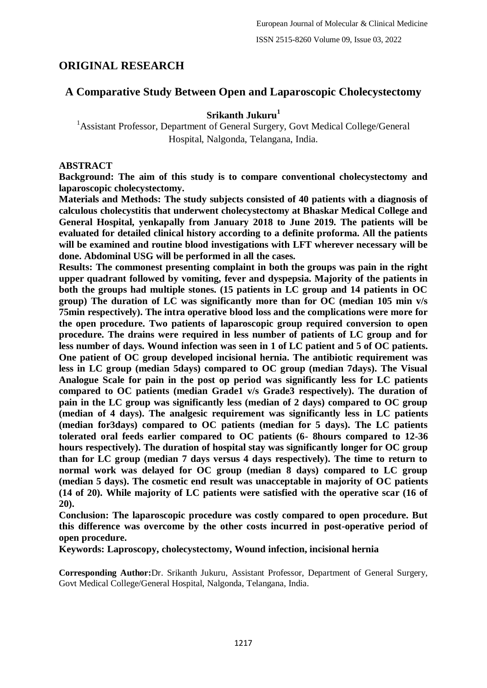# **ORIGINAL RESEARCH**

# **A Comparative Study Between Open and Laparoscopic Cholecystectomy**

## **Srikanth Jukuru<sup>1</sup>**

<sup>1</sup> Assistant Professor, Department of General Surgery, Govt Medical College/General Hospital, Nalgonda, Telangana, India.

### **ABSTRACT**

**Background: The aim of this study is to compare conventional cholecystectomy and laparoscopic cholecystectomy.**

**Materials and Methods: The study subjects consisted of 40 patients with a diagnosis of calculous cholecystitis that underwent cholecystectomy at Bhaskar Medical College and General Hospital, yenkapally from January 2018 to June 2019. The patients will be evaluated for detailed clinical history according to a definite proforma. All the patients will be examined and routine blood investigations with LFT wherever necessary will be done. Abdominal USG will be performed in all the cases.**

**Results: The commonest presenting complaint in both the groups was pain in the right upper quadrant followed by vomiting, fever and dyspepsia. Majority of the patients in both the groups had multiple stones. (15 patients in LC group and 14 patients in OC group) The duration of LC was significantly more than for OC (median 105 min v/s 75min respectively). The intra operative blood loss and the complications were more for the open procedure. Two patients of laparoscopic group required conversion to open procedure. The drains were required in less number of patients of LC group and for less number of days. Wound infection was seen in 1 of LC patient and 5 of OC patients. One patient of OC group developed incisional hernia. The antibiotic requirement was less in LC group (median 5days) compared to OC group (median 7days). The Visual Analogue Scale for pain in the post op period was significantly less for LC patients compared to OC patients (median Grade1 v/s Grade3 respectively). The duration of pain in the LC group was significantly less (median of 2 days) compared to OC group (median of 4 days). The analgesic requirement was significantly less in LC patients (median for3days) compared to OC patients (median for 5 days). The LC patients tolerated oral feeds earlier compared to OC patients (6- 8hours compared to 12-36 hours respectively). The duration of hospital stay was significantly longer for OC group than for LC group (median 7 days versus 4 days respectively). The time to return to normal work was delayed for OC group (median 8 days) compared to LC group (median 5 days). The cosmetic end result was unacceptable in majority of OC patients (14 of 20). While majority of LC patients were satisfied with the operative scar (16 of 20).**

**Conclusion: The laparoscopic procedure was costly compared to open procedure. But this difference was overcome by the other costs incurred in post-operative period of open procedure.**

**Keywords: Laproscopy, cholecystectomy, Wound infection, incisional hernia**

**Corresponding Author:**Dr. Srikanth Jukuru, Assistant Professor, Department of General Surgery, Govt Medical College/General Hospital, Nalgonda, Telangana, India.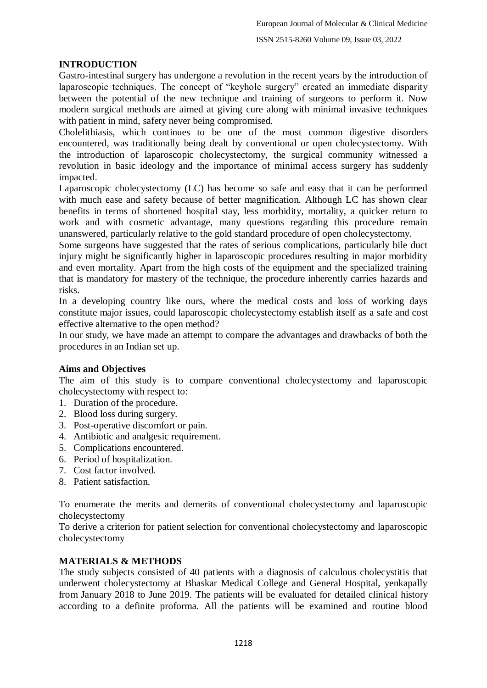## **INTRODUCTION**

Gastro-intestinal surgery has undergone a revolution in the recent years by the introduction of laparoscopic techniques. The concept of "keyhole surgery" created an immediate disparity between the potential of the new technique and training of surgeons to perform it. Now modern surgical methods are aimed at giving cure along with minimal invasive techniques with patient in mind, safety never being compromised.

Cholelithiasis, which continues to be one of the most common digestive disorders encountered, was traditionally being dealt by conventional or open cholecystectomy. With the introduction of laparoscopic cholecystectomy, the surgical community witnessed a revolution in basic ideology and the importance of minimal access surgery has suddenly impacted.

Laparoscopic cholecystectomy (LC) has become so safe and easy that it can be performed with much ease and safety because of better magnification. Although LC has shown clear benefits in terms of shortened hospital stay, less morbidity, mortality, a quicker return to work and with cosmetic advantage, many questions regarding this procedure remain unanswered, particularly relative to the gold standard procedure of open cholecystectomy.

Some surgeons have suggested that the rates of serious complications, particularly bile duct injury might be significantly higher in laparoscopic procedures resulting in major morbidity and even mortality. Apart from the high costs of the equipment and the specialized training that is mandatory for mastery of the technique, the procedure inherently carries hazards and risks.

In a developing country like ours, where the medical costs and loss of working days constitute major issues, could laparoscopic cholecystectomy establish itself as a safe and cost effective alternative to the open method?

In our study, we have made an attempt to compare the advantages and drawbacks of both the procedures in an Indian set up.

### **Aims and Objectives**

The aim of this study is to compare conventional cholecystectomy and laparoscopic cholecystectomy with respect to:

- 1. Duration of the procedure.
- 2. Blood loss during surgery.
- 3. Post-operative discomfort or pain.
- 4. Antibiotic and analgesic requirement.
- 5. Complications encountered.
- 6. Period of hospitalization.
- 7. Cost factor involved.
- 8. Patient satisfaction.

To enumerate the merits and demerits of conventional cholecystectomy and laparoscopic cholecystectomy

To derive a criterion for patient selection for conventional cholecystectomy and laparoscopic cholecystectomy

### **MATERIALS & METHODS**

The study subjects consisted of 40 patients with a diagnosis of calculous cholecystitis that underwent cholecystectomy at Bhaskar Medical College and General Hospital, yenkapally from January 2018 to June 2019. The patients will be evaluated for detailed clinical history according to a definite proforma. All the patients will be examined and routine blood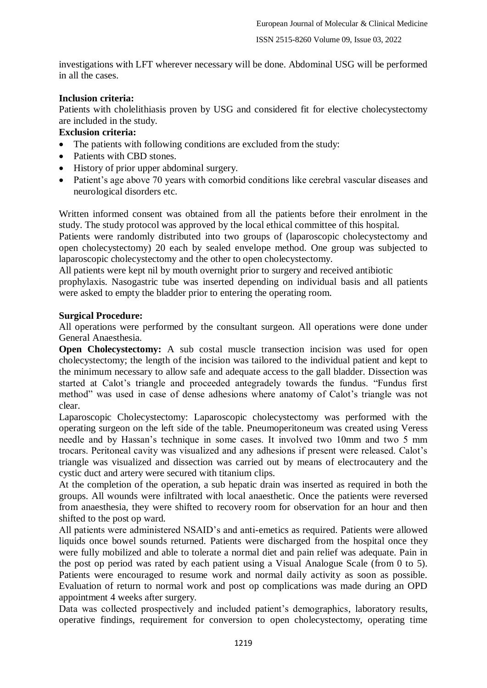investigations with LFT wherever necessary will be done. Abdominal USG will be performed in all the cases.

## **Inclusion criteria:**

Patients with cholelithiasis proven by USG and considered fit for elective cholecystectomy are included in the study.

### **Exclusion criteria:**

- The patients with following conditions are excluded from the study:
- Patients with CBD stones.
- History of prior upper abdominal surgery.
- Patient's age above 70 years with comorbid conditions like cerebral vascular diseases and neurological disorders etc.

Written informed consent was obtained from all the patients before their enrolment in the study. The study protocol was approved by the local ethical committee of this hospital.

Patients were randomly distributed into two groups of (laparoscopic cholecystectomy and open cholecystectomy) 20 each by sealed envelope method. One group was subjected to laparoscopic cholecystectomy and the other to open cholecystectomy.

All patients were kept nil by mouth overnight prior to surgery and received antibiotic

prophylaxis. Nasogastric tube was inserted depending on individual basis and all patients were asked to empty the bladder prior to entering the operating room.

### **Surgical Procedure:**

All operations were performed by the consultant surgeon. All operations were done under General Anaesthesia.

**Open Cholecystectomy:** A sub costal muscle transection incision was used for open cholecystectomy; the length of the incision was tailored to the individual patient and kept to the minimum necessary to allow safe and adequate access to the gall bladder. Dissection was started at Calot's triangle and proceeded antegradely towards the fundus. "Fundus first method" was used in case of dense adhesions where anatomy of Calot's triangle was not clear.

Laparoscopic Cholecystectomy: Laparoscopic cholecystectomy was performed with the operating surgeon on the left side of the table. Pneumoperitoneum was created using Veress needle and by Hassan's technique in some cases. It involved two 10mm and two 5 mm trocars. Peritoneal cavity was visualized and any adhesions if present were released. Calot's triangle was visualized and dissection was carried out by means of electrocautery and the cystic duct and artery were secured with titanium clips.

At the completion of the operation, a sub hepatic drain was inserted as required in both the groups. All wounds were infiltrated with local anaesthetic. Once the patients were reversed from anaesthesia, they were shifted to recovery room for observation for an hour and then shifted to the post op ward.

All patients were administered NSAID's and anti-emetics as required. Patients were allowed liquids once bowel sounds returned. Patients were discharged from the hospital once they were fully mobilized and able to tolerate a normal diet and pain relief was adequate. Pain in the post op period was rated by each patient using a Visual Analogue Scale (from 0 to 5). Patients were encouraged to resume work and normal daily activity as soon as possible. Evaluation of return to normal work and post op complications was made during an OPD appointment 4 weeks after surgery.

Data was collected prospectively and included patient's demographics, laboratory results, operative findings, requirement for conversion to open cholecystectomy, operating time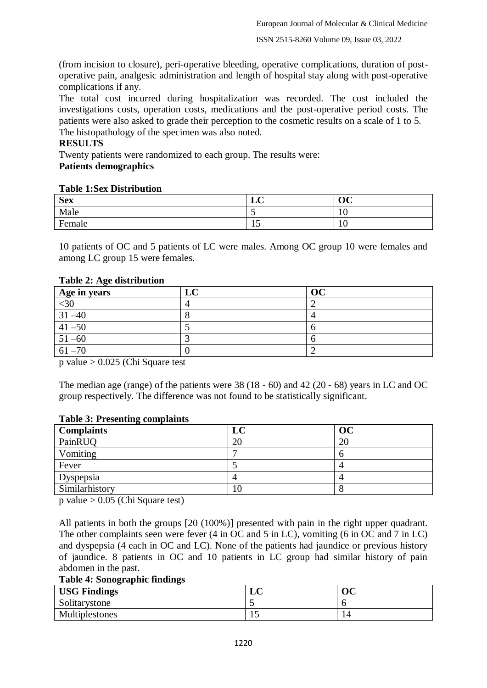(from incision to closure), peri-operative bleeding, operative complications, duration of postoperative pain, analgesic administration and length of hospital stay along with post-operative complications if any.

The total cost incurred during hospitalization was recorded. The cost included the investigations costs, operation costs, medications and the post-operative period costs. The patients were also asked to grade their perception to the cosmetic results on a scale of 1 to 5. The histopathology of the specimen was also noted.

#### **RESULTS**

Twenty patients were randomized to each group. The results were: **Patients demographics**

### **Table 1:Sex Distribution**

| <b>Sex</b> | $\sim$<br>$\mathbf{r}$<br>1JV | OC |
|------------|-------------------------------|----|
| Male       | . .                           | ΙV |
| Female     | ∸                             | ΙV |

10 patients of OC and 5 patients of LC were males. Among OC group 10 were females and among LC group 15 were females.

| Age in years | ОC |
|--------------|----|
| $<$ 30       |    |
| $31 - 40$    |    |
| $41 - 50$    |    |
| $51 - 60$    |    |
| $61 - 70$    |    |

#### **Table 2: Age distribution**

p value  $> 0.025$  (Chi Square test

The median age (range) of the patients were 38 (18 - 60) and 42 (20 - 68) years in LC and OC group respectively. The difference was not found to be statistically significant.

### **Table 3: Presenting complaints**

| <b>Complaints</b> | LC | oc |
|-------------------|----|----|
| PainRUQ           | 20 | 20 |
| Vomiting          |    |    |
| Fever             |    |    |
| Dyspepsia         |    |    |
| Similarhistory    | 10 |    |

p value  $> 0.05$  (Chi Square test)

All patients in both the groups [20 (100%)] presented with pain in the right upper quadrant. The other complaints seen were fever (4 in OC and 5 in LC), vomiting (6 in OC and 7 in LC) and dyspepsia (4 each in OC and LC). None of the patients had jaundice or previous history of jaundice. 8 patients in OC and 10 patients in LC group had similar history of pain abdomen in the past.

### **Table 4: Sonographic findings**

| <b>USG Findings</b> | 1JV | ∩∩<br>v |
|---------------------|-----|---------|
| Solitarystone       |     |         |
| Multiplestones      | ⊥ື  | 4       |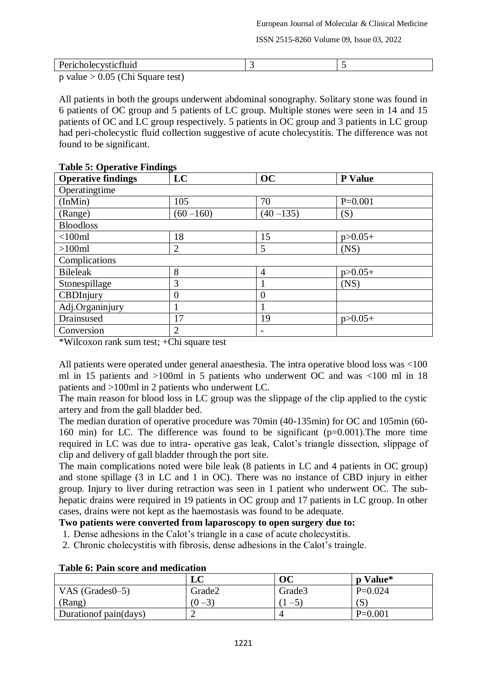| Tiulu<br>T AT<br>----------                                 |  |
|-------------------------------------------------------------|--|
| $\sim$ realize $\sim$ 0.05 (Cl <sub>ass</sub> Courage toot) |  |

p value  $> 0.05$  (Chi Square test)

All patients in both the groups underwent abdominal sonography. Solitary stone was found in 6 patients of OC group and 5 patients of LC group. Multiple stones were seen in 14 and 15 patients of OC and LC group respectively. 5 patients in OC group and 3 patients in LC group had peri-cholecystic fluid collection suggestive of acute cholecystitis. The difference was not found to be significant.

| <b>Operative findings</b> | LC           | OC           | <b>P</b> Value |
|---------------------------|--------------|--------------|----------------|
| Operatingtime             |              |              |                |
| (InMin)                   | 105          | 70           | $P=0.001$      |
| (Range)                   | $(60 - 160)$ | $(40 - 135)$ | (S)            |
| <b>Bloodloss</b>          |              |              |                |
| $<$ 100 $ml$              | 18           | 15           | $p > 0.05+$    |
| $>100$ ml                 | 2            | 5            | (NS)           |
| Complications             |              |              |                |
| <b>Bileleak</b>           | 8            | 4            | $p > 0.05+$    |
| Stonespillage             | 3            |              | (NS)           |
| CBDInjury                 | 0            | $\theta$     |                |
| Adj.Organinjury           |              |              |                |
| Drainsused                | 17           | 19           | $p > 0.05+$    |
| Conversion                | 2            |              |                |

### **Table 5: Operative Findings**

\*Wilcoxon rank sum test; +Chi square test

All patients were operated under general anaesthesia. The intra operative blood loss was <100 ml in 15 patients and >100ml in 5 patients who underwent OC and was <100 ml in 18 patients and >100ml in 2 patients who underwent LC.

The main reason for blood loss in LC group was the slippage of the clip applied to the cystic artery and from the gall bladder bed.

The median duration of operative procedure was 70min (40-135min) for OC and 105min (60- 160 min) for LC. The difference was found to be significant (p=0.001).The more time required in LC was due to intra- operative gas leak, Calot's triangle dissection, slippage of clip and delivery of gall bladder through the port site.

The main complications noted were bile leak (8 patients in LC and 4 patients in OC group) and stone spillage (3 in LC and 1 in OC). There was no instance of CBD injury in either group. Injury to liver during retraction was seen in 1 patient who underwent OC. The subhepatic drains were required in 19 patients in OC group and 17 patients in LC group. In other cases, drains were not kept as the haemostasis was found to be adequate.

### **Two patients were converted from laparoscopy to open surgery due to:**

- 1. Dense adhesions in the Calot's triangle in a case of acute cholecystitis.
- 2. Chronic cholecystitis with fibrosis, dense adhesions in the Calot's traingle.

|                        | LC        | $\overline{\textbf{OC}}$ | p Value*  |  |
|------------------------|-----------|--------------------------|-----------|--|
| VAS $(Grades0-5)$      | Grade2    | Grade3                   | $P=0.024$ |  |
| (Rang)                 | $(0 - 3)$ | $\supset$                | (S        |  |
| Duration of pain(days) |           |                          | $P=0.001$ |  |

### **Table 6: Pain score and medication**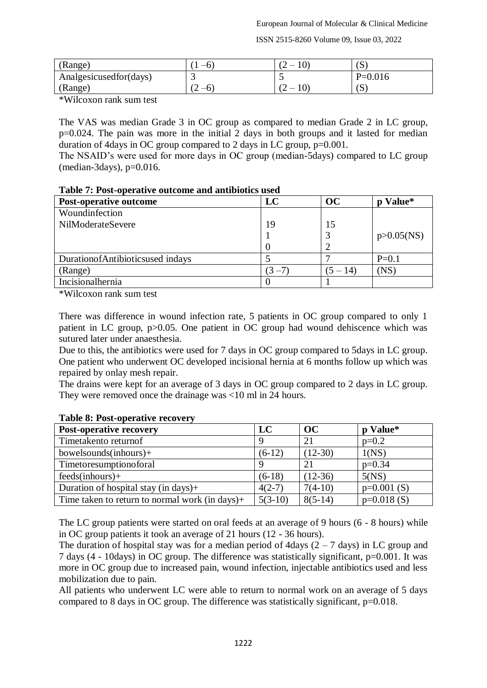| (Range)                  |                 | 1V.<br>- | $\sim$<br>6     |
|--------------------------|-----------------|----------|-----------------|
| Analgesicused for (days) |                 |          | $P=0.016$       |
| (Range)                  | $\sqrt{2}$<br>∼ | ∼        | $\epsilon$<br>6 |

\*Wilcoxon rank sum test

The VAS was median Grade 3 in OC group as compared to median Grade 2 in LC group, p=0.024. The pain was more in the initial 2 days in both groups and it lasted for median duration of 4days in OC group compared to 2 days in LC group, p=0.001.

The NSAID's were used for more days in OC group (median-5days) compared to LC group  $(median-3davs)$ ,  $p=0.016$ .

|  |  |  |  |  | Table 7: Post-operative outcome and antibiotics used |  |
|--|--|--|--|--|------------------------------------------------------|--|
|--|--|--|--|--|------------------------------------------------------|--|

| <b>Post-operative outcome</b>    | LC        | OC         | Value*<br>n     |
|----------------------------------|-----------|------------|-----------------|
| Woundinfection                   |           |            |                 |
| NilModerateSevere                | 19        | 15         |                 |
|                                  |           |            | $p > 0.05$ (NS) |
|                                  |           |            |                 |
| DurationofAntibioticsused indays |           |            | $P=0.1$         |
| (Range)                          | $(3 - 7)$ | $(5 - 14)$ | (NS)            |
| Incisionalhernia                 |           |            |                 |

\*Wilcoxon rank sum test

There was difference in wound infection rate, 5 patients in OC group compared to only 1 patient in LC group, p>0.05. One patient in OC group had wound dehiscence which was sutured later under anaesthesia.

Due to this, the antibiotics were used for 7 days in OC group compared to 5days in LC group. One patient who underwent OC developed incisional hernia at 6 months follow up which was repaired by onlay mesh repair.

The drains were kept for an average of 3 days in OC group compared to 2 days in LC group. They were removed once the drainage was <10 ml in 24 hours.

| <b>Post-operative recovery</b>                    | LC        | OC        | p Value*     |
|---------------------------------------------------|-----------|-----------|--------------|
| Timetakento returnof                              | Q         | 21        | $p=0.2$      |
| $bowelsounds(inhours)+$                           | $(6-12)$  | $(12-30)$ | 1(NS)        |
| Timetoresumptionoforal                            | Q         | 21        | $p=0.34$     |
| $feedback(inhours) +$                             | $(6-18)$  | $(12-36)$ | 5(NS)        |
| Duration of hospital stay (in days) $+$           | $4(2-7)$  | $7(4-10)$ | $p=0.001(S)$ |
| Time taken to return to normal work (in days) $+$ | $5(3-10)$ | $8(5-14)$ | $p=0.018(S)$ |

### **Table 8: Post-operative recovery**

The LC group patients were started on oral feeds at an average of 9 hours (6 - 8 hours) while in OC group patients it took an average of 21 hours (12 - 36 hours).

The duration of hospital stay was for a median period of 4days  $(2 - 7)$  days) in LC group and 7 days (4 - 10days) in OC group. The difference was statistically significant, p=0.001. It was more in OC group due to increased pain, wound infection, injectable antibiotics used and less mobilization due to pain.

All patients who underwent LC were able to return to normal work on an average of 5 days compared to 8 days in OC group. The difference was statistically significant, p=0.018.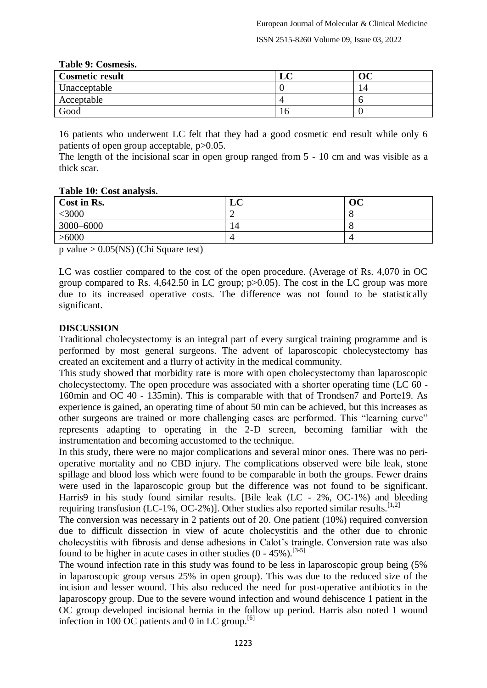| $10010 \times 1000$    |    |    |
|------------------------|----|----|
| <b>Cosmetic result</b> | LU |    |
| Unacceptable           |    | 14 |
| Acceptable             |    |    |
| Good                   | ιv |    |

#### **Table 9: Cosmesis.**

16 patients who underwent LC felt that they had a good cosmetic end result while only 6 patients of open group acceptable, p>0.05.

The length of the incisional scar in open group ranged from 5 - 10 cm and was visible as a thick scar.

| Cost in Rs. | $\sqrt{ }$<br>LU | OC |
|-------------|------------------|----|
| $<$ 3000    |                  |    |
| 3000-6000   | 14               |    |
| >6000       |                  |    |

p value > 0.05(NS) (Chi Square test)

LC was costlier compared to the cost of the open procedure. (Average of Rs. 4,070 in OC group compared to Rs. 4,642.50 in LC group; p>0.05). The cost in the LC group was more due to its increased operative costs. The difference was not found to be statistically significant.

### **DISCUSSION**

Traditional cholecystectomy is an integral part of every surgical training programme and is performed by most general surgeons. The advent of laparoscopic cholecystectomy has created an excitement and a flurry of activity in the medical community.

This study showed that morbidity rate is more with open cholecystectomy than laparoscopic cholecystectomy. The open procedure was associated with a shorter operating time (LC 60 - 160min and OC 40 - 135min). This is comparable with that of Trondsen7 and Porte19. As experience is gained, an operating time of about 50 min can be achieved, but this increases as other surgeons are trained or more challenging cases are performed. This "learning curve" represents adapting to operating in the 2-D screen, becoming familiar with the instrumentation and becoming accustomed to the technique.

In this study, there were no major complications and several minor ones. There was no perioperative mortality and no CBD injury. The complications observed were bile leak, stone spillage and blood loss which were found to be comparable in both the groups. Fewer drains were used in the laparoscopic group but the difference was not found to be significant. Harris9 in his study found similar results. [Bile leak (LC - 2%, OC-1%) and bleeding requiring transfusion (LC-1%, OC-2%)]. Other studies also reported similar results.<sup>[1,2]</sup>

The conversion was necessary in 2 patients out of 20. One patient (10%) required conversion due to difficult dissection in view of acute cholecystitis and the other due to chronic cholecystitis with fibrosis and dense adhesions in Calot's traingle. Conversion rate was also found to be higher in acute cases in other studies  $(0 - 45\%)$ .<sup>[3-5]</sup>

The wound infection rate in this study was found to be less in laparoscopic group being (5% in laparoscopic group versus 25% in open group). This was due to the reduced size of the incision and lesser wound. This also reduced the need for post-operative antibiotics in the laparoscopy group. Due to the severe wound infection and wound dehiscence 1 patient in the OC group developed incisional hernia in the follow up period. Harris also noted 1 wound infection in 100 OC patients and 0 in LC group.<sup>[6]</sup>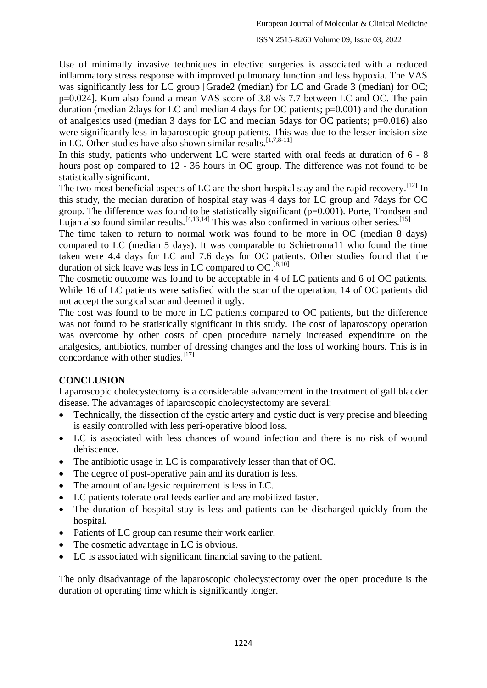Use of minimally invasive techniques in elective surgeries is associated with a reduced inflammatory stress response with improved pulmonary function and less hypoxia. The VAS was significantly less for LC group [Grade2 (median) for LC and Grade 3 (median) for OC; p=0.024]. Kum also found a mean VAS score of 3.8 v/s 7.7 between LC and OC. The pain duration (median 2days for LC and median 4 days for OC patients; p=0.001) and the duration of analgesics used (median 3 days for LC and median 5days for OC patients; p=0.016) also were significantly less in laparoscopic group patients. This was due to the lesser incision size in LC. Other studies have also shown similar results.<sup>[1,7,8-11]</sup>

In this study, patients who underwent LC were started with oral feeds at duration of 6 - 8 hours post op compared to 12 - 36 hours in OC group. The difference was not found to be statistically significant.

The two most beneficial aspects of LC are the short hospital stay and the rapid recovery.<sup>[12]</sup> In this study, the median duration of hospital stay was 4 days for LC group and 7days for OC group. The difference was found to be statistically significant (p=0.001). Porte, Trondsen and Lujan also found similar results.  $[4,13,14]$  This was also confirmed in various other series.  $[15]$ 

The time taken to return to normal work was found to be more in OC (median 8 days) compared to LC (median 5 days). It was comparable to Schietroma11 who found the time taken were 4.4 days for LC and 7.6 days for OC patients. Other studies found that the duration of sick leave was less in LC compared to OC.<sup>[8,10]</sup>

The cosmetic outcome was found to be acceptable in 4 of LC patients and 6 of OC patients. While 16 of LC patients were satisfied with the scar of the operation, 14 of OC patients did not accept the surgical scar and deemed it ugly.

The cost was found to be more in LC patients compared to OC patients, but the difference was not found to be statistically significant in this study. The cost of laparoscopy operation was overcome by other costs of open procedure namely increased expenditure on the analgesics, antibiotics, number of dressing changes and the loss of working hours. This is in concordance with other studies.<sup>[17]</sup>

### **CONCLUSION**

Laparoscopic cholecystectomy is a considerable advancement in the treatment of gall bladder disease. The advantages of laparoscopic cholecystectomy are several:

- Technically, the dissection of the cystic artery and cystic duct is very precise and bleeding is easily controlled with less peri-operative blood loss.
- LC is associated with less chances of wound infection and there is no risk of wound dehiscence.
- The antibiotic usage in LC is comparatively lesser than that of OC.
- The degree of post-operative pain and its duration is less.
- The amount of analgesic requirement is less in LC.
- LC patients tolerate oral feeds earlier and are mobilized faster.
- The duration of hospital stay is less and patients can be discharged quickly from the hospital.
- Patients of LC group can resume their work earlier.
- The cosmetic advantage in LC is obvious.
- LC is associated with significant financial saving to the patient.

The only disadvantage of the laparoscopic cholecystectomy over the open procedure is the duration of operating time which is significantly longer.